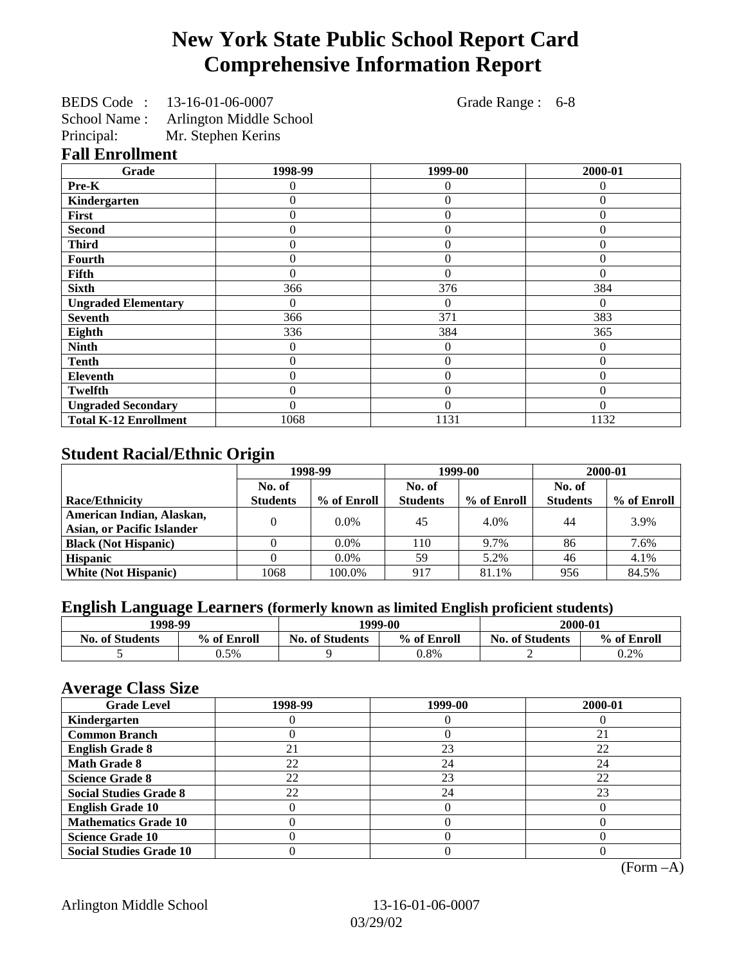# **New York State Public School Report Card Comprehensive Information Report**

| BEDS Code: 13-16-01-06-0007 | Grade Range : 6-8 |  |
|-----------------------------|-------------------|--|
|                             |                   |  |

School Name : Arlington Middle School

Principal: Mr. Stephen Kerins

#### **Fall Enrollment**

| Grade                        | 1998-99  | 1999-00        | 2000-01  |
|------------------------------|----------|----------------|----------|
| Pre-K                        |          | 0              | 0        |
| Kindergarten                 | 0        | 0              | $\Omega$ |
| First                        | 0        | $\theta$       | 0        |
| <b>Second</b>                | 0        | $\theta$       | 0        |
| <b>Third</b>                 | 0        | 0              | 0        |
| Fourth                       | 0        | 0              | 0        |
| Fifth                        | 0        | 0              | 0        |
| <b>Sixth</b>                 | 366      | 376            | 384      |
| <b>Ungraded Elementary</b>   | 0        | $\Omega$       | $_{0}$   |
| <b>Seventh</b>               | 366      | 371            | 383      |
| Eighth                       | 336      | 384            | 365      |
| <b>Ninth</b>                 | 0        | 0              | $\theta$ |
| <b>Tenth</b>                 | 0        | $\overline{0}$ | $\Omega$ |
| <b>Eleventh</b>              | 0        | $\overline{0}$ | 0        |
| <b>Twelfth</b>               | 0        | $\theta$       | 0        |
| <b>Ungraded Secondary</b>    | $\Omega$ | $\Omega$       | $\Omega$ |
| <b>Total K-12 Enrollment</b> | 1068     | 1131           | 1132     |

### **Student Racial/Ethnic Origin**

|                                   | 1998-99         |             | 1999-00         |             | 2000-01         |             |
|-----------------------------------|-----------------|-------------|-----------------|-------------|-----------------|-------------|
|                                   | No. of          |             | No. of          |             | No. of          |             |
| <b>Race/Ethnicity</b>             | <b>Students</b> | % of Enroll | <b>Students</b> | % of Enroll | <b>Students</b> | % of Enroll |
| American Indian, Alaskan,         |                 | $0.0\%$     | 45              | 4.0%        | 44              | 3.9%        |
| <b>Asian, or Pacific Islander</b> |                 |             |                 |             |                 |             |
| <b>Black (Not Hispanic)</b>       |                 | $0.0\%$     | 110             | 9.7%        | 86              | 7.6%        |
| <b>Hispanic</b>                   |                 | $0.0\%$     | 59              | 5.2%        | 46              | 4.1%        |
| <b>White (Not Hispanic)</b>       | 1068            | 100.0%      | 917             | 81.1%       | 956             | 84.5%       |

## **English Language Learners (formerly known as limited English proficient students)**

| 1998-99                |             | 1999-00                               |      | 2000-01                |             |
|------------------------|-------------|---------------------------------------|------|------------------------|-------------|
| <b>No. of Students</b> | % of Enroll | % of Enroll<br><b>No. of Students</b> |      | <b>No. of Students</b> | % of Enroll |
|                        | $0.5\%$     |                                       | 0.8% |                        | $0.2\%$     |

#### **Average Class Size**

| o<br><b>Grade Level</b>        | 1998-99 | 1999-00 | 2000-01 |
|--------------------------------|---------|---------|---------|
| Kindergarten                   |         |         |         |
| <b>Common Branch</b>           |         |         | 21      |
| <b>English Grade 8</b>         |         | 23      | 22      |
| <b>Math Grade 8</b>            | 22      | 24      | 24      |
| <b>Science Grade 8</b>         | 22      | 23      | 22      |
| <b>Social Studies Grade 8</b>  | 22      | 24      | 23      |
| <b>English Grade 10</b>        |         |         |         |
| <b>Mathematics Grade 10</b>    |         |         |         |
| <b>Science Grade 10</b>        |         |         |         |
| <b>Social Studies Grade 10</b> |         |         |         |

(Form –A)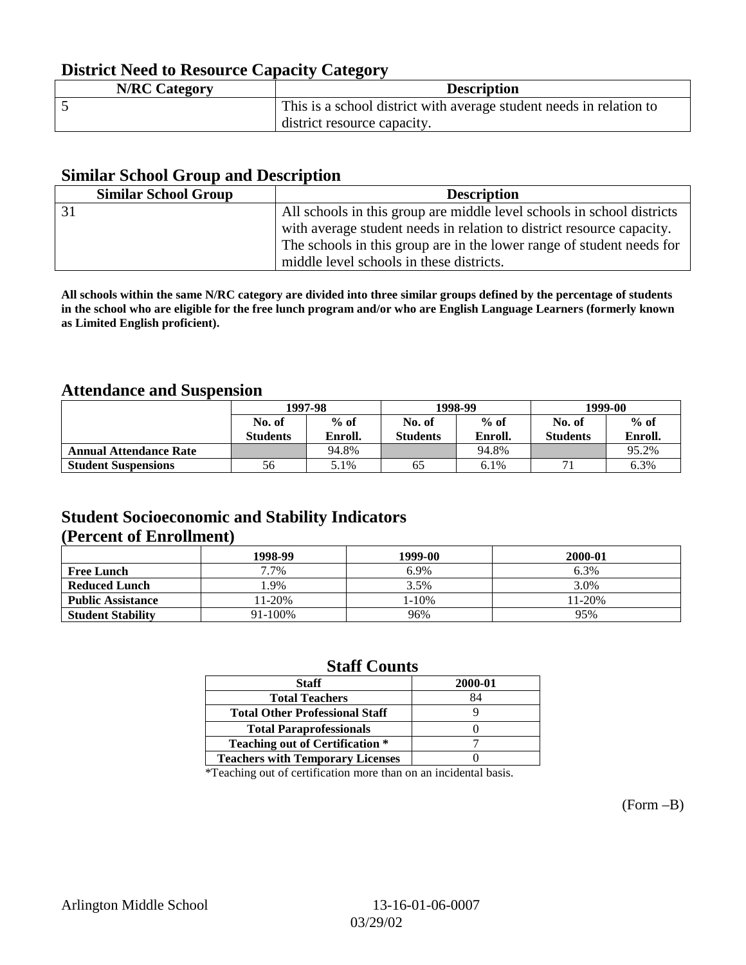## **District Need to Resource Capacity Category**

| <b>N/RC Category</b> | <b>Description</b>                                                  |
|----------------------|---------------------------------------------------------------------|
|                      | This is a school district with average student needs in relation to |
|                      | district resource capacity.                                         |

#### **Similar School Group and Description**

| <b>Similar School Group</b> | <b>Description</b>                                                     |
|-----------------------------|------------------------------------------------------------------------|
|                             | All schools in this group are middle level schools in school districts |
|                             | with average student needs in relation to district resource capacity.  |
|                             | The schools in this group are in the lower range of student needs for  |
|                             | middle level schools in these districts.                               |

**All schools within the same N/RC category are divided into three similar groups defined by the percentage of students in the school who are eligible for the free lunch program and/or who are English Language Learners (formerly known as Limited English proficient).**

### **Attendance and Suspension**

|                               | 1997-98         |                | 1998-99         |         | 1999-00         |         |
|-------------------------------|-----------------|----------------|-----------------|---------|-----------------|---------|
|                               | No. of          | $%$ of         | No. of          | $%$ of  | No. of          | $%$ of  |
|                               | <b>Students</b> | <b>Enroll.</b> | <b>Students</b> | Enroll. | <b>Students</b> | Enroll. |
| <b>Annual Attendance Rate</b> |                 | 94.8%          |                 | 94.8%   |                 | 95.2%   |
| <b>Student Suspensions</b>    | 56              | 5.1%           | 65              | 6.1%    |                 | 6.3%    |

### **Student Socioeconomic and Stability Indicators (Percent of Enrollment)**

|                          | 1998-99 | 1999-00 | 2000-01    |
|--------------------------|---------|---------|------------|
| <b>Free Lunch</b>        | 7.7%    | 6.9%    | 6.3%       |
| <b>Reduced Lunch</b>     | .9%     | 3.5%    | 3.0%       |
| <b>Public Assistance</b> | 11-20%  | 1-10%   | $11 - 20%$ |
| <b>Student Stability</b> | 91-100% | 96%     | 95%        |

#### **Staff Counts**

| <b>Staff</b>                            | 2000-01 |
|-----------------------------------------|---------|
| <b>Total Teachers</b>                   | 84      |
| <b>Total Other Professional Staff</b>   |         |
| <b>Total Paraprofessionals</b>          |         |
| <b>Teaching out of Certification *</b>  |         |
| <b>Teachers with Temporary Licenses</b> |         |
|                                         |         |

\*Teaching out of certification more than on an incidental basis.

(Form –B)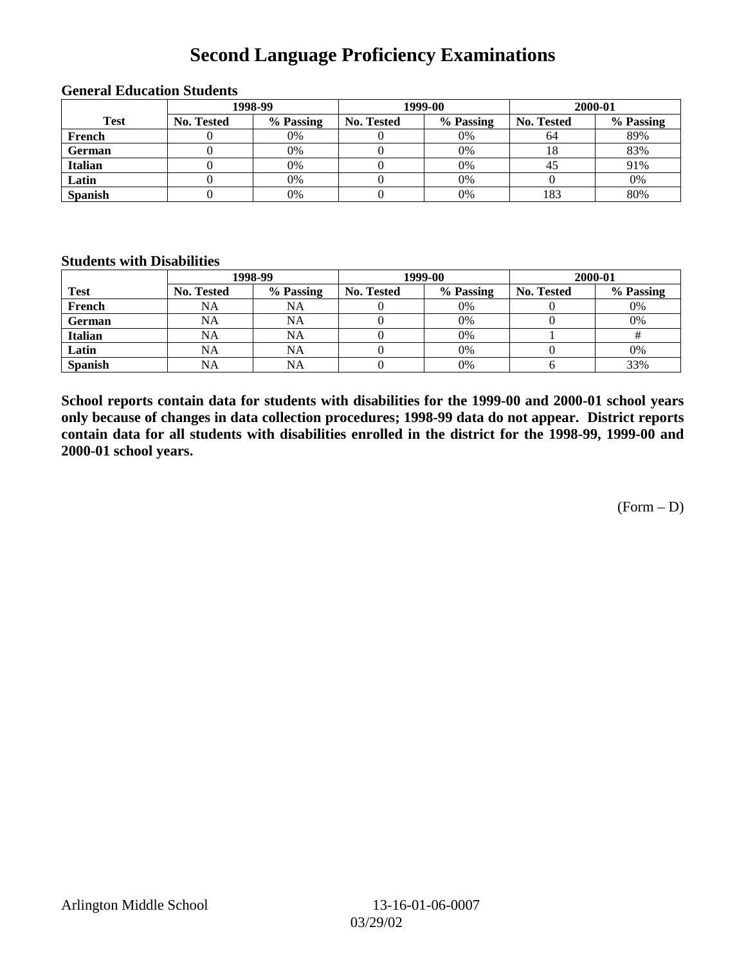# **Second Language Proficiency Examinations**

|                | 1998-99    |           |                   | 1999-00   | 2000-01    |           |
|----------------|------------|-----------|-------------------|-----------|------------|-----------|
| <b>Test</b>    | No. Tested | % Passing | <b>No. Tested</b> | % Passing | No. Tested | % Passing |
| French         |            | 0%        |                   | 0%        | 64         | 89%       |
| <b>German</b>  |            | 0%        |                   | 0%        | 18         | 83%       |
| <b>Italian</b> |            | 0%        |                   | 0%        | 43         | 91%       |
| Latin          |            | 0%        |                   | 0%        |            | 0%        |
| <b>Spanish</b> |            | 0%        |                   | 0%        | 183        | 80%       |

#### **General Education Students**

#### **Students with Disabilities**

|                | 1998-99    |           | 1999-00           |           | 2000-01           |           |
|----------------|------------|-----------|-------------------|-----------|-------------------|-----------|
| <b>Test</b>    | No. Tested | % Passing | <b>No. Tested</b> | % Passing | <b>No. Tested</b> | % Passing |
| French         | <b>NA</b>  | <b>NA</b> |                   | 0%        |                   | 0%        |
| <b>German</b>  | NA         | <b>NA</b> |                   | 0%        |                   | 0%        |
| <b>Italian</b> | <b>NA</b>  | <b>NA</b> |                   | 0%        |                   |           |
| Latin          | <b>NA</b>  | NA        |                   | 0%        |                   | 0%        |
| <b>Spanish</b> | <b>NA</b>  | NA        |                   | 0%        |                   | 33%       |

**School reports contain data for students with disabilities for the 1999-00 and 2000-01 school years only because of changes in data collection procedures; 1998-99 data do not appear. District reports contain data for all students with disabilities enrolled in the district for the 1998-99, 1999-00 and 2000-01 school years.**

 $(Form - D)$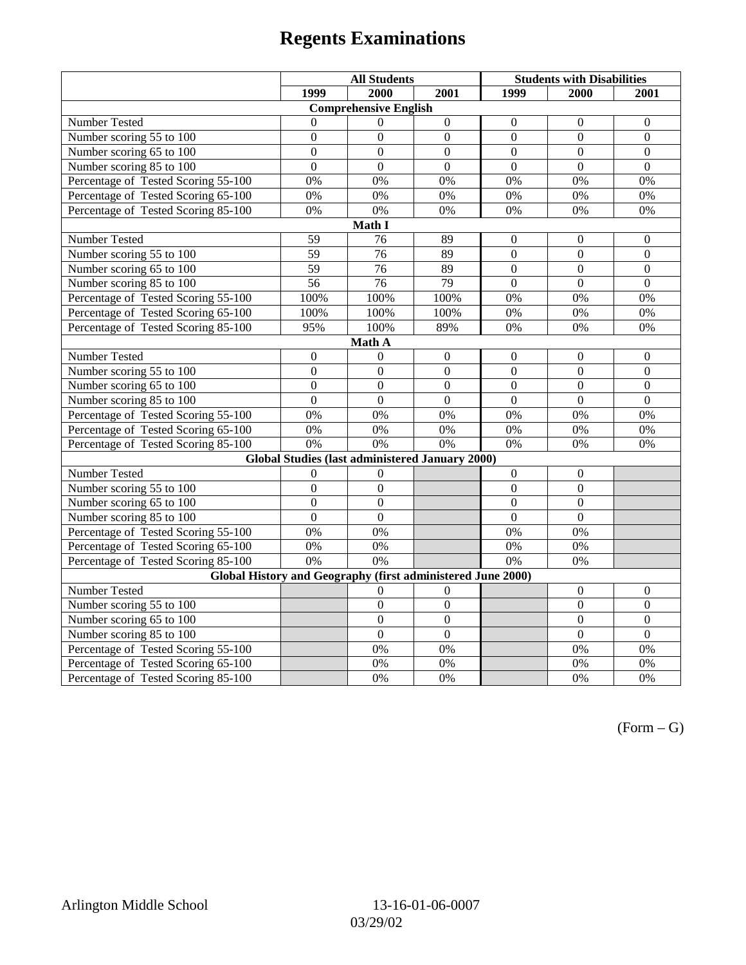# **Regents Examinations**

|                                                             | <b>All Students</b> |                 |                  | <b>Students with Disabilities</b> |                  |                  |  |  |
|-------------------------------------------------------------|---------------------|-----------------|------------------|-----------------------------------|------------------|------------------|--|--|
|                                                             | 1999                | 2000            | 2001             | 1999                              | 2000             | 2001             |  |  |
| <b>Comprehensive English</b>                                |                     |                 |                  |                                   |                  |                  |  |  |
| Number Tested                                               | $\overline{0}$      | $\theta$        | $\mathbf{0}$     | $\mathbf{0}$                      | $\mathbf{0}$     | $\mathbf{0}$     |  |  |
| Number scoring 55 to 100                                    | $\Omega$            | $\Omega$        | $\Omega$         | $\theta$                          | $\Omega$         | $\Omega$         |  |  |
| Number scoring 65 to 100                                    | $\overline{0}$      | $\overline{0}$  | $\overline{0}$   | $\overline{0}$                    | $\overline{0}$   | $\overline{0}$   |  |  |
| Number scoring 85 to 100                                    | $\overline{0}$      | $\theta$        | $\overline{0}$   | $\theta$                          | $\overline{0}$   | $\overline{0}$   |  |  |
| Percentage of Tested Scoring 55-100                         | 0%                  | 0%              | 0%               | 0%                                | 0%               | 0%               |  |  |
| Percentage of Tested Scoring 65-100                         | 0%                  | 0%              | 0%               | $0\%$                             | 0%               | $0\%$            |  |  |
| Percentage of Tested Scoring 85-100                         | 0%                  | 0%              | 0%               | 0%                                | 0%               | 0%               |  |  |
|                                                             |                     | Math I          |                  |                                   |                  |                  |  |  |
| Number Tested                                               | 59                  | 76              | 89               | $\overline{0}$                    | $\boldsymbol{0}$ | $\mathbf{0}$     |  |  |
| Number scoring 55 to 100                                    | $\overline{59}$     | $\overline{76}$ | 89               | $\overline{0}$                    | $\overline{0}$   | $\mathbf{0}$     |  |  |
| Number scoring 65 to 100                                    | 59                  | 76              | 89               | $\theta$                          | $\Omega$         | $\Omega$         |  |  |
| Number scoring 85 to 100                                    | 56                  | 76              | 79               | $\overline{0}$                    | $\overline{0}$   | $\overline{0}$   |  |  |
| Percentage of Tested Scoring 55-100                         | 100%                | 100%            | 100%             | 0%                                | 0%               | 0%               |  |  |
| Percentage of Tested Scoring 65-100                         | 100%                | 100%            | 100%             | 0%                                | 0%               | 0%               |  |  |
| Percentage of Tested Scoring 85-100                         | 95%                 | 100%            | 89%              | $0\%$                             | 0%               | 0%               |  |  |
|                                                             |                     | Math A          |                  |                                   |                  |                  |  |  |
| <b>Number Tested</b>                                        | $\boldsymbol{0}$    | $\overline{0}$  | $\boldsymbol{0}$ | $\boldsymbol{0}$                  | $\boldsymbol{0}$ | $\boldsymbol{0}$ |  |  |
| Number scoring $5\overline{5}$ to $100$                     | $\mathbf{0}$        | $\mathbf{0}$    | $\overline{0}$   | $\overline{0}$                    | $\overline{0}$   | $\mathbf{0}$     |  |  |
| Number scoring 65 to 100                                    | $\overline{0}$      | $\overline{0}$  | $\mathbf{0}$     | $\mathbf{0}$                      | $\mathbf{0}$     | $\mathbf{0}$     |  |  |
| Number scoring $85 \overline{\text{to } 100}$               | $\theta$            | $\theta$        | $\Omega$         | $\theta$                          | $\Omega$         | $\Omega$         |  |  |
| Percentage of Tested Scoring 55-100                         | 0%                  | 0%              | 0%               | 0%                                | 0%               | $0\%$            |  |  |
| Percentage of Tested Scoring 65-100                         | 0%                  | 0%              | 0%               | 0%                                | 0%               | 0%               |  |  |
| Percentage of Tested Scoring 85-100                         | 0%                  | 0%              | 0%               | 0%                                | 0%               | $0\%$            |  |  |
| Global Studies (last administered January 2000)             |                     |                 |                  |                                   |                  |                  |  |  |
| Number Tested                                               | $\mathbf{0}$        | $\theta$        |                  | $\overline{0}$                    | $\mathbf{0}$     |                  |  |  |
| Number scoring 55 to 100                                    | $\mathbf{0}$        | $\mathbf{0}$    |                  | $\overline{0}$                    | $\mathbf{0}$     |                  |  |  |
| Number scoring 65 to 100                                    | $\overline{0}$      | $\overline{0}$  |                  | $\overline{0}$                    | $\overline{0}$   |                  |  |  |
| Number scoring 85 to 100                                    | $\overline{0}$      | $\overline{0}$  |                  | $\overline{0}$                    | $\overline{0}$   |                  |  |  |
| Percentage of Tested Scoring 55-100                         | 0%                  | 0%              |                  | 0%                                | 0%               |                  |  |  |
| Percentage of Tested Scoring 65-100                         | 0%                  | 0%              |                  | $0\%$                             | 0%               |                  |  |  |
| Percentage of Tested Scoring 85-100                         | 0%                  | 0%              |                  | 0%                                | $\overline{0\%}$ |                  |  |  |
| Global History and Geography (first administered June 2000) |                     |                 |                  |                                   |                  |                  |  |  |
| Number Tested                                               |                     | $\theta$        | $\theta$         |                                   | $\boldsymbol{0}$ | $\boldsymbol{0}$ |  |  |
| Number scoring 55 to 100                                    |                     | $\mathbf{0}$    | $\mathbf{0}$     |                                   | $\mathbf{0}$     | $\boldsymbol{0}$ |  |  |
| Number scoring 65 to 100                                    |                     | $\overline{0}$  | $\overline{0}$   |                                   | $\overline{0}$   | $\overline{0}$   |  |  |
| Number scoring 85 to 100                                    |                     | $\overline{0}$  | $\overline{0}$   |                                   | $\overline{0}$   | $\overline{0}$   |  |  |
| Percentage of Tested Scoring 55-100                         |                     | 0%              | 0%               |                                   | 0%               | 0%               |  |  |
| Percentage of Tested Scoring 65-100                         |                     | 0%              | $0\%$            |                                   | 0%               | $0\%$            |  |  |
| Percentage of Tested Scoring 85-100                         |                     | 0%              | 0%               |                                   | 0%               | 0%               |  |  |

 $(Form - G)$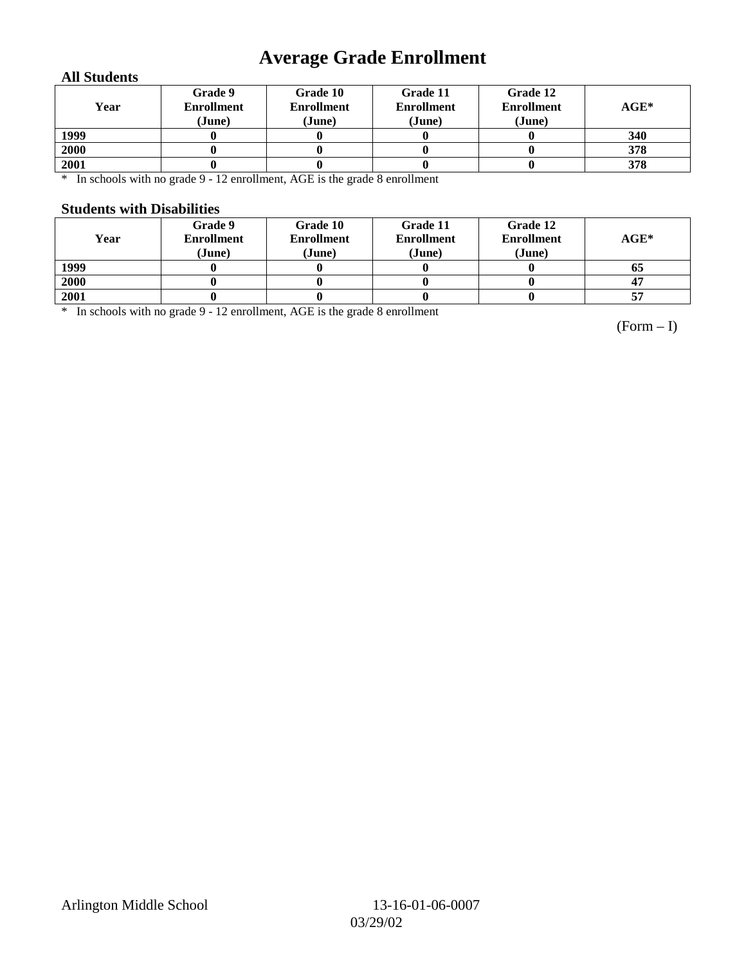# **Average Grade Enrollment**

#### **All Students**

| Year | Grade 9<br><b>Enrollment</b><br>(June) | Grade 10<br><b>Enrollment</b><br>(June) | Grade 11<br><b>Enrollment</b><br>(June) | Grade 12<br><b>Enrollment</b><br>(June) | $AGE^*$ |
|------|----------------------------------------|-----------------------------------------|-----------------------------------------|-----------------------------------------|---------|
| 1999 |                                        |                                         |                                         |                                         | 340     |
| 2000 |                                        |                                         |                                         |                                         | 378     |
| 2001 |                                        |                                         |                                         |                                         | 378     |

\* In schools with no grade 9 - 12 enrollment, AGE is the grade 8 enrollment

#### **Students with Disabilities**

| Year | Grade 9<br><b>Enrollment</b><br>(June) | Grade 10<br><b>Enrollment</b><br>(June) | Grade 11<br><b>Enrollment</b><br>(June) | Grade 12<br><b>Enrollment</b><br>(June) | $AGE*$ |
|------|----------------------------------------|-----------------------------------------|-----------------------------------------|-----------------------------------------|--------|
| 1999 |                                        |                                         |                                         |                                         | 05     |
| 2000 |                                        |                                         |                                         |                                         | 47     |
| 2001 |                                        |                                         |                                         |                                         | 57     |

\* In schools with no grade 9 - 12 enrollment, AGE is the grade 8 enrollment

(Form – I)